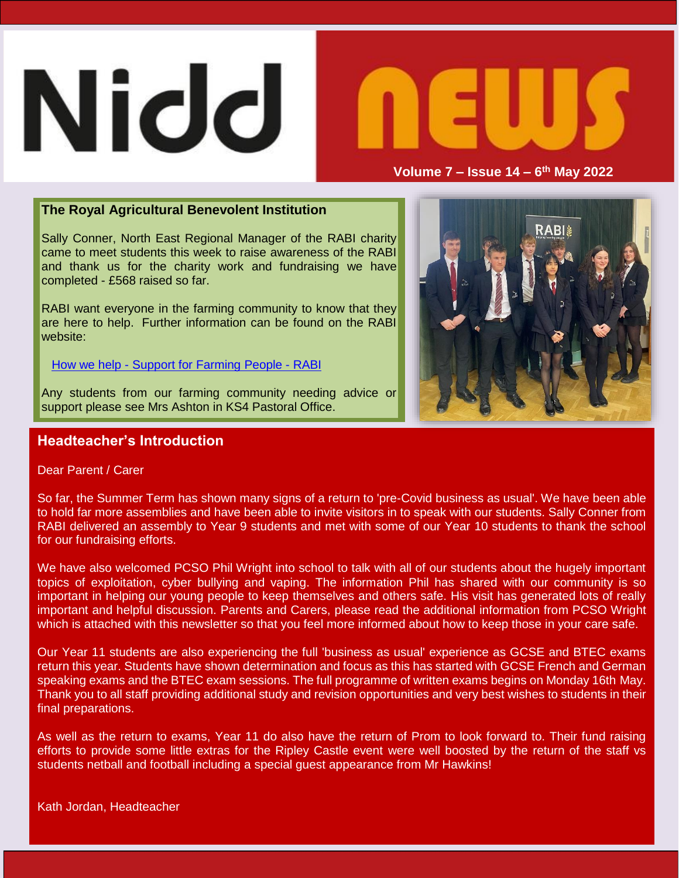# **Nidd**



**Volume 7 – Issue 14 – 6 th May 2022**

#### **The Royal Agricultural Benevolent Institution**

Sally Conner, North East Regional Manager of the RABI charity came to meet students this week to raise awareness of the RABI and thank us for the charity work and fundraising we have completed - £568 raised so far.

RABI want everyone in the farming community to know that they are here to help. Further information can be found on the RABI website:

How we help - Support for [Farming](https://rabi.org.uk/how-we-help/) People - RABI

Any students from our farming community needing advice or support please see Mrs Ashton in KS4 Pastoral Office.

### **Headteacher's Introduction**

Dear Parent / Carer

So far, the Summer Term has shown many signs of a return to 'pre-Covid business as usual'. We have been able to hold far more assemblies and have been able to invite visitors in to speak with our students. Sally Conner from RABI delivered an assembly to Year 9 students and met with some of our Year 10 students to thank the school for our fundraising efforts.

We have also welcomed PCSO Phil Wright into school to talk with all of our students about the hugely important topics of exploitation, cyber bullying and vaping. The information Phil has shared with our community is so important in helping our young people to keep themselves and others safe. His visit has generated lots of really important and helpful discussion. Parents and Carers, please read the additional information from PCSO Wright which is attached with this newsletter so that you feel more informed about how to keep those in your care safe.

Our Year 11 students are also experiencing the full 'business as usual' experience as GCSE and BTEC exams return this year. Students have shown determination and focus as this has started with GCSE French and German speaking exams and the BTEC exam sessions. The full programme of written exams begins on Monday 16th May. Thank you to all staff providing additional study and revision opportunities and very best wishes to students in their final preparations.

As well as the return to exams, Year 11 do also have the return of Prom to look forward to. Their fund raising efforts to provide some little extras for the Ripley Castle event were well boosted by the return of the staff vs students netball and football including a special guest appearance from Mr Hawkins!

Kath Jordan, Headteacher

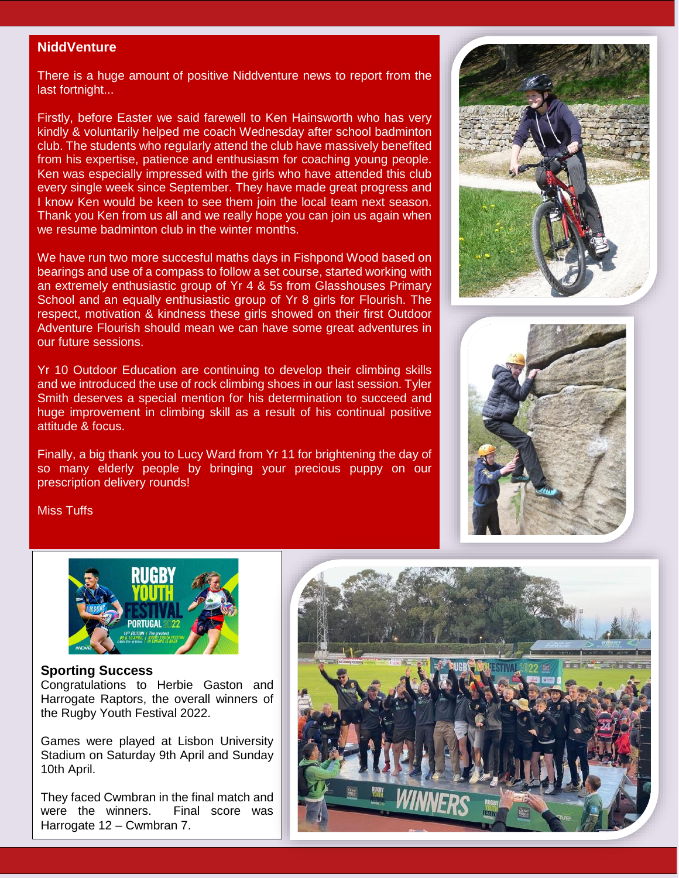#### **NiddVenture**

There is a huge amount of positive Niddventure news to report from the last fortnight...

Firstly, before Easter we said farewell to Ken Hainsworth who has very kindly & voluntarily helped me coach Wednesday after school badminton club. The students who regularly attend the club have massively benefited from his expertise, patience and enthusiasm for coaching young people. Ken was especially impressed with the girls who have attended this club every single week since September. They have made great progress and I know Ken would be keen to see them join the local team next season. Thank you Ken from us all and we really hope you can join us again when we resume badminton club in the winter months.

We have run two more succesful maths days in Fishpond Wood based on bearings and use of a compass to follow a set course, started working with an extremely enthusiastic group of Yr 4 & 5s from Glasshouses Primary School and an equally enthusiastic group of Yr 8 girls for Flourish. The respect, motivation & kindness these girls showed on their first Outdoor Adventure Flourish should mean we can have some great adventures in our future sessions.

Yr 10 Outdoor Education are continuing to develop their climbing skills and we introduced the use of rock climbing shoes in our last session. Tyler Smith deserves a special mention for his determination to succeed and huge improvement in climbing skill as a result of his continual positive attitude & focus.

Finally, a big thank you to Lucy Ward from Yr 11 for brightening the day of so many elderly people by bringing your precious puppy on our prescription delivery rounds!





Miss Tuffs



#### **Sporting Success**

Congratulations to Herbie Gaston and Harrogate Raptors, the overall winners of the Rugby Youth Festival 2022.

Games were played at Lisbon University Stadium on Saturday 9th April and Sunday 10th April.

They faced Cwmbran in the final match and were the winners. Final score was Harrogate 12 – Cwmbran 7.